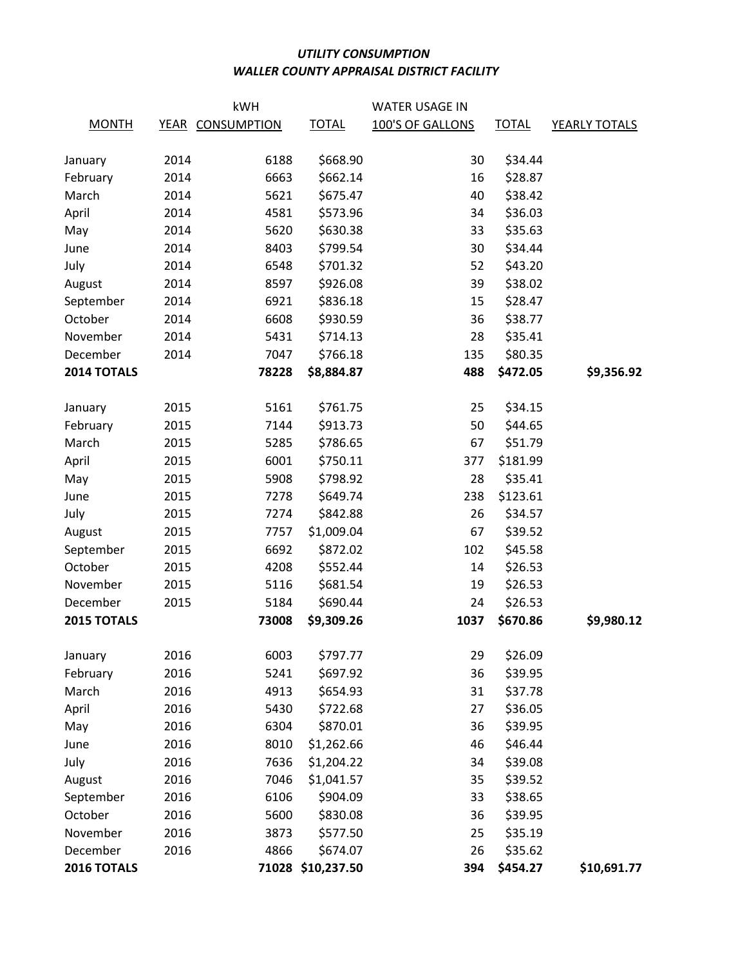## UTILITY CONSUMPTION WALLER COUNTY APPRAISAL DISTRICT FACILITY

|                         | kWH          |                  |                               | <b>WATER USAGE IN</b> |                     |               |
|-------------------------|--------------|------------------|-------------------------------|-----------------------|---------------------|---------------|
| <b>MONTH</b>            |              | YEAR CONSUMPTION | <b>TOTAL</b>                  | 100'S OF GALLONS      | <b>TOTAL</b>        | YEARLY TOTALS |
|                         |              |                  |                               |                       |                     |               |
| January                 | 2014         | 6188             | \$668.90                      | 30                    | \$34.44             |               |
| February                | 2014         | 6663             | \$662.14                      | 16                    | \$28.87             |               |
| March                   | 2014         | 5621             | \$675.47                      | 40                    | \$38.42             |               |
| April                   | 2014         | 4581             | \$573.96                      | 34                    | \$36.03             |               |
| May                     | 2014         | 5620             | \$630.38                      | 33                    | \$35.63             |               |
| June                    | 2014         | 8403             | \$799.54                      | 30                    | \$34.44             |               |
| July                    | 2014         | 6548             | \$701.32                      | 52                    | \$43.20             |               |
| August                  | 2014         | 8597             | \$926.08                      | 39                    | \$38.02             |               |
| September               | 2014         | 6921             | \$836.18                      | 15                    | \$28.47             |               |
| October                 | 2014         | 6608             | \$930.59                      | 36                    | \$38.77             |               |
| November                | 2014         | 5431             | \$714.13                      | 28                    | \$35.41             |               |
| December                | 2014         | 7047             | \$766.18                      | 135                   | \$80.35             |               |
| 2014 TOTALS             |              | 78228            | \$8,884.87                    | 488                   | \$472.05            | \$9,356.92    |
|                         |              |                  |                               |                       |                     |               |
| January                 | 2015         | 5161             | \$761.75                      | 25                    | \$34.15             |               |
| February                | 2015         | 7144             | \$913.73                      | 50                    | \$44.65             |               |
| March                   | 2015         | 5285             | \$786.65                      | 67                    | \$51.79             |               |
| April                   | 2015         | 6001             | \$750.11                      | 377                   | \$181.99            |               |
| May                     | 2015         | 5908             | \$798.92                      | 28                    | \$35.41             |               |
| June                    | 2015         | 7278             | \$649.74                      | 238                   | \$123.61            |               |
| July                    | 2015         | 7274             | \$842.88                      | 26                    | \$34.57             |               |
| August                  | 2015         | 7757             | \$1,009.04                    | 67                    | \$39.52             |               |
| September               | 2015         | 6692             | \$872.02                      | 102                   | \$45.58             |               |
| October                 | 2015         | 4208             | \$552.44                      | 14                    | \$26.53             |               |
| November                | 2015         | 5116             | \$681.54                      | 19                    | \$26.53             |               |
| December                | 2015         | 5184             | \$690.44                      | 24                    | \$26.53             |               |
| 2015 TOTALS             |              | 73008            | \$9,309.26                    | 1037                  | \$670.86            | \$9,980.12    |
|                         | 2016         | 6003             | \$797.77                      | 29                    | \$26.09             |               |
| January<br>February     | 2016         | 5241             | \$697.92                      | 36                    | \$39.95             |               |
| March                   | 2016         | 4913             | \$654.93                      | 31                    | \$37.78             |               |
| April                   | 2016         | 5430             | \$722.68                      | 27                    | \$36.05             |               |
|                         | 2016         | 6304             | \$870.01                      | 36                    | \$39.95             |               |
| May                     | 2016         |                  |                               | 46                    | \$46.44             |               |
| June                    |              | 8010             | \$1,262.66                    |                       |                     |               |
| July                    | 2016<br>2016 | 7636<br>7046     | \$1,204.22                    | 34<br>35              | \$39.08             |               |
| August                  |              |                  | \$1,041.57                    |                       | \$39.52             |               |
| September               | 2016         | 6106             | \$904.09                      | 33                    | \$38.65             |               |
| October                 | 2016         | 5600             | \$830.08                      | 36                    | \$39.95             |               |
| November                | 2016         | 3873             | \$577.50                      | 25                    | \$35.19             |               |
| December<br>2016 TOTALS | 2016         | 4866             | \$674.07<br>71028 \$10,237.50 | 26<br>394             | \$35.62<br>\$454.27 | \$10,691.77   |
|                         |              |                  |                               |                       |                     |               |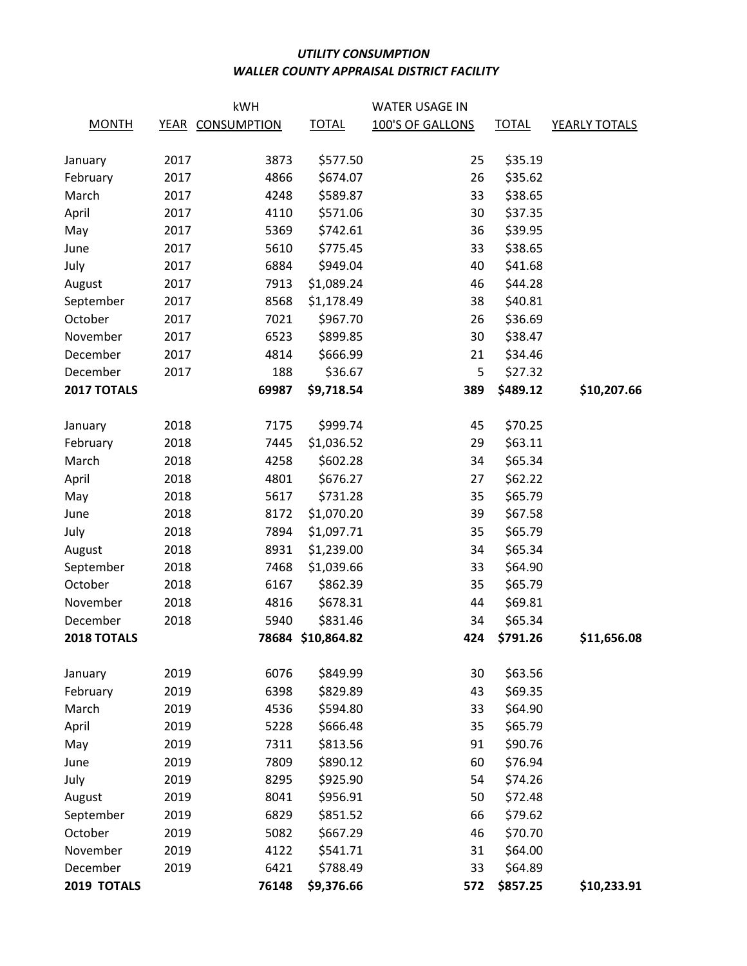## UTILITY CONSUMPTION WALLER COUNTY APPRAISAL DISTRICT FACILITY

|                    | kWH  |                  |                   | <b>WATER USAGE IN</b> |              |               |  |
|--------------------|------|------------------|-------------------|-----------------------|--------------|---------------|--|
| <b>MONTH</b>       |      | YEAR CONSUMPTION | <b>TOTAL</b>      | 100'S OF GALLONS      | <b>TOTAL</b> | YEARLY TOTALS |  |
|                    |      |                  |                   |                       |              |               |  |
| January            | 2017 | 3873             | \$577.50          | 25                    | \$35.19      |               |  |
| February           | 2017 | 4866             | \$674.07          | 26                    | \$35.62      |               |  |
| March              | 2017 | 4248             | \$589.87          | 33                    | \$38.65      |               |  |
| April              | 2017 | 4110             | \$571.06          | 30                    | \$37.35      |               |  |
| May                | 2017 | 5369             | \$742.61          | 36                    | \$39.95      |               |  |
| June               | 2017 | 5610             | \$775.45          | 33                    | \$38.65      |               |  |
| July               | 2017 | 6884             | \$949.04          | 40                    | \$41.68      |               |  |
| August             | 2017 | 7913             | \$1,089.24        | 46                    | \$44.28      |               |  |
| September          | 2017 | 8568             | \$1,178.49        | 38                    | \$40.81      |               |  |
| October            | 2017 | 7021             | \$967.70          | 26                    | \$36.69      |               |  |
| November           | 2017 | 6523             | \$899.85          | 30                    | \$38.47      |               |  |
| December           | 2017 | 4814             | \$666.99          | 21                    | \$34.46      |               |  |
| December           | 2017 | 188              | \$36.67           | 5                     | \$27.32      |               |  |
| 2017 TOTALS        |      | 69987            | \$9,718.54        | 389                   | \$489.12     | \$10,207.66   |  |
|                    |      |                  |                   |                       |              |               |  |
| January            | 2018 | 7175             | \$999.74          | 45                    | \$70.25      |               |  |
| February           | 2018 | 7445             | \$1,036.52        | 29                    | \$63.11      |               |  |
| March              | 2018 | 4258             | \$602.28          | 34                    | \$65.34      |               |  |
| April              | 2018 | 4801             | \$676.27          | 27                    | \$62.22      |               |  |
| May                | 2018 | 5617             | \$731.28          | 35                    | \$65.79      |               |  |
| June               | 2018 | 8172             | \$1,070.20        | 39                    | \$67.58      |               |  |
| July               | 2018 | 7894             | \$1,097.71        | 35                    | \$65.79      |               |  |
| August             | 2018 | 8931             | \$1,239.00        | 34                    | \$65.34      |               |  |
| September          | 2018 | 7468             | \$1,039.66        | 33                    | \$64.90      |               |  |
| October            | 2018 | 6167             | \$862.39          | 35                    | \$65.79      |               |  |
| November           | 2018 | 4816             | \$678.31          | 44                    | \$69.81      |               |  |
| December           | 2018 | 5940             | \$831.46          | 34                    | \$65.34      |               |  |
| <b>2018 TOTALS</b> |      |                  | 78684 \$10,864.82 | 424                   | \$791.26     | \$11,656.08   |  |
|                    |      |                  |                   |                       |              |               |  |
| January            | 2019 | 6076             | \$849.99          | 30                    | \$63.56      |               |  |
| February           | 2019 | 6398             | \$829.89          | 43                    | \$69.35      |               |  |
| March              | 2019 | 4536             | \$594.80          | 33                    | \$64.90      |               |  |
| April              | 2019 | 5228             | \$666.48          | 35                    | \$65.79      |               |  |
| May                | 2019 | 7311             | \$813.56          | 91                    | \$90.76      |               |  |
| June               | 2019 | 7809             | \$890.12          | 60                    | \$76.94      |               |  |
| July               | 2019 | 8295             | \$925.90          | 54                    | \$74.26      |               |  |
| August             | 2019 | 8041             | \$956.91          | 50                    | \$72.48      |               |  |
| September          | 2019 | 6829             | \$851.52          | 66                    | \$79.62      |               |  |
| October            | 2019 | 5082             | \$667.29          | 46                    | \$70.70      |               |  |
| November           | 2019 | 4122             | \$541.71          | 31                    | \$64.00      |               |  |
| December           | 2019 | 6421             | \$788.49          | 33                    | \$64.89      |               |  |
| 2019 TOTALS        |      | 76148            | \$9,376.66        | 572                   | \$857.25     | \$10,233.91   |  |